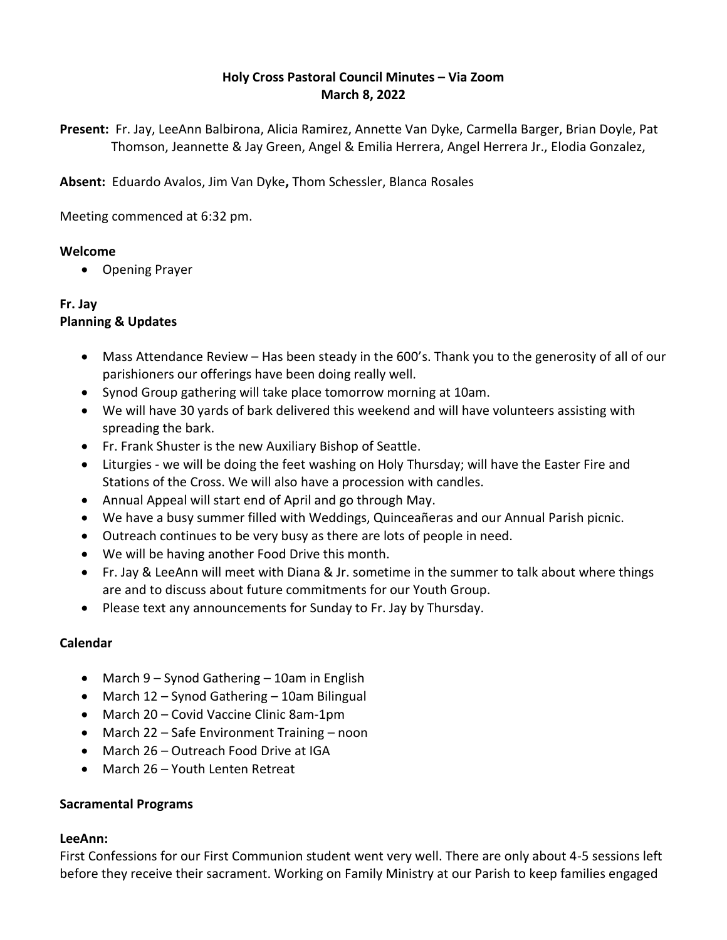## **Holy Cross Pastoral Council Minutes – Via Zoom March 8, 2022**

**Present:** Fr. Jay, LeeAnn Balbirona, Alicia Ramirez, Annette Van Dyke, Carmella Barger, Brian Doyle, Pat Thomson, Jeannette & Jay Green, Angel & Emilia Herrera, Angel Herrera Jr., Elodia Gonzalez,

**Absent:** Eduardo Avalos, Jim Van Dyke**,** Thom Schessler, Blanca Rosales

Meeting commenced at 6:32 pm.

#### **Welcome**

Opening Prayer

#### **Fr. Jay Planning & Updates**

- Mass Attendance Review Has been steady in the 600's. Thank you to the generosity of all of our parishioners our offerings have been doing really well.
- Synod Group gathering will take place tomorrow morning at 10am.
- We will have 30 yards of bark delivered this weekend and will have volunteers assisting with spreading the bark.
- Fr. Frank Shuster is the new Auxiliary Bishop of Seattle.
- Liturgies we will be doing the feet washing on Holy Thursday; will have the Easter Fire and Stations of the Cross. We will also have a procession with candles.
- Annual Appeal will start end of April and go through May.
- We have a busy summer filled with Weddings, Quinceañeras and our Annual Parish picnic.
- Outreach continues to be very busy as there are lots of people in need.
- We will be having another Food Drive this month.
- Fr. Jay & LeeAnn will meet with Diana & Jr. sometime in the summer to talk about where things are and to discuss about future commitments for our Youth Group.
- Please text any announcements for Sunday to Fr. Jay by Thursday.

## **Calendar**

- March 9 Synod Gathering 10am in English
- March 12 Synod Gathering 10am Bilingual
- March 20 Covid Vaccine Clinic 8am-1pm
- March 22 Safe Environment Training noon
- March 26 Outreach Food Drive at IGA
- March 26 Youth Lenten Retreat

## **Sacramental Programs**

## **LeeAnn:**

First Confessions for our First Communion student went very well. There are only about 4-5 sessions left before they receive their sacrament. Working on Family Ministry at our Parish to keep families engaged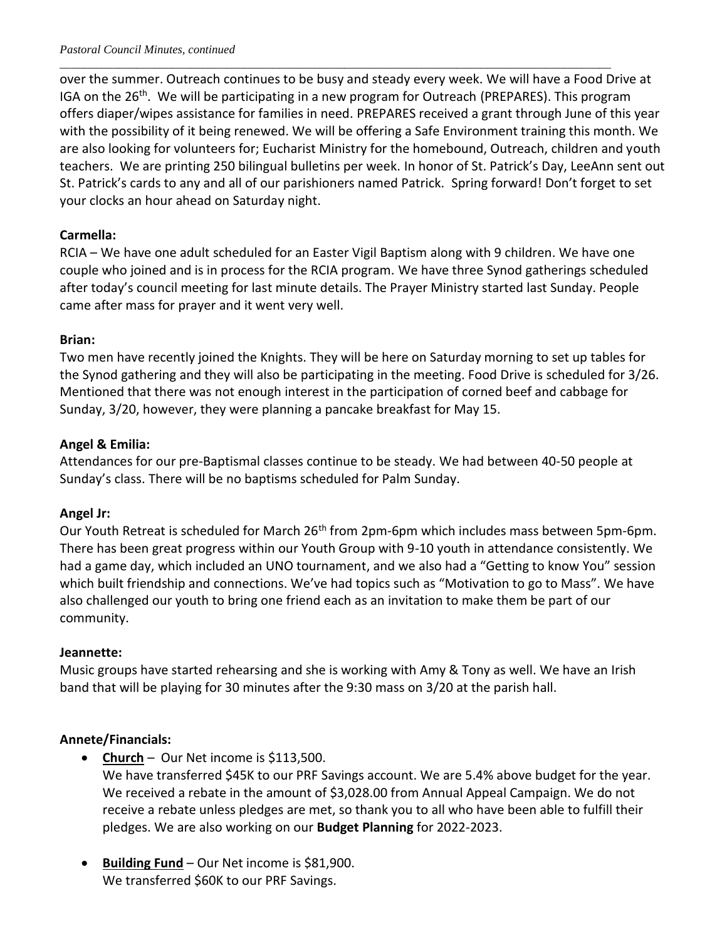over the summer. Outreach continues to be busy and steady every week. We will have a Food Drive at IGA on the  $26<sup>th</sup>$ . We will be participating in a new program for Outreach (PREPARES). This program offers diaper/wipes assistance for families in need. PREPARES received a grant through June of this year with the possibility of it being renewed. We will be offering a Safe Environment training this month. We are also looking for volunteers for; Eucharist Ministry for the homebound, Outreach, children and youth teachers. We are printing 250 bilingual bulletins per week. In honor of St. Patrick's Day, LeeAnn sent out St. Patrick's cards to any and all of our parishioners named Patrick. Spring forward! Don't forget to set your clocks an hour ahead on Saturday night.

\_\_\_\_\_\_\_\_\_\_\_\_\_\_\_\_\_\_\_\_\_\_\_\_\_\_\_\_\_\_\_\_\_\_\_\_\_\_\_\_\_\_\_\_\_\_\_\_\_\_\_\_\_\_\_\_\_\_\_\_\_\_\_\_\_\_\_\_\_\_\_\_\_\_\_\_\_\_\_\_\_\_\_\_\_\_\_\_\_\_\_\_\_

## **Carmella:**

RCIA – We have one adult scheduled for an Easter Vigil Baptism along with 9 children. We have one couple who joined and is in process for the RCIA program. We have three Synod gatherings scheduled after today's council meeting for last minute details. The Prayer Ministry started last Sunday. People came after mass for prayer and it went very well.

## **Brian:**

Two men have recently joined the Knights. They will be here on Saturday morning to set up tables for the Synod gathering and they will also be participating in the meeting. Food Drive is scheduled for 3/26. Mentioned that there was not enough interest in the participation of corned beef and cabbage for Sunday, 3/20, however, they were planning a pancake breakfast for May 15.

## **Angel & Emilia:**

Attendances for our pre-Baptismal classes continue to be steady. We had between 40-50 people at Sunday's class. There will be no baptisms scheduled for Palm Sunday.

## **Angel Jr:**

Our Youth Retreat is scheduled for March 26<sup>th</sup> from 2pm-6pm which includes mass between 5pm-6pm. There has been great progress within our Youth Group with 9-10 youth in attendance consistently. We had a game day, which included an UNO tournament, and we also had a "Getting to know You" session which built friendship and connections. We've had topics such as "Motivation to go to Mass". We have also challenged our youth to bring one friend each as an invitation to make them be part of our community.

## **Jeannette:**

Music groups have started rehearsing and she is working with Amy & Tony as well. We have an Irish band that will be playing for 30 minutes after the 9:30 mass on 3/20 at the parish hall.

# **Annete/Financials:**

**• Church** – Our Net income is \$113,500.

We have transferred \$45K to our PRF Savings account. We are 5.4% above budget for the year. We received a rebate in the amount of \$3,028.00 from Annual Appeal Campaign. We do not receive a rebate unless pledges are met, so thank you to all who have been able to fulfill their pledges. We are also working on our **Budget Planning** for 2022-2023.

**Building Fund** – Our Net income is \$81,900. We transferred \$60K to our PRF Savings.